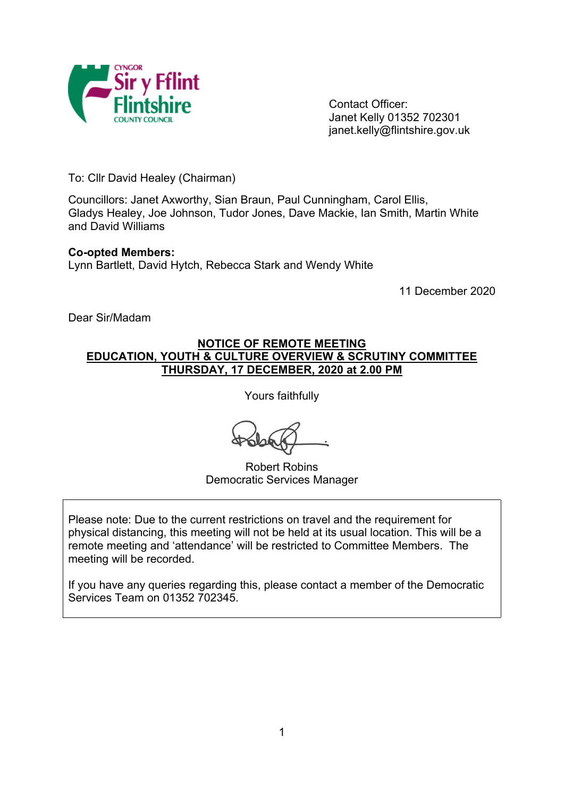

Contact Officer: Janet Kelly 01352 702301 janet.kelly@flintshire.gov.uk

To: Cllr David Healey (Chairman)

Councillors: Janet Axworthy, Sian Braun, Paul Cunningham, Carol Ellis, Gladys Healey, Joe Johnson, Tudor Jones, Dave Mackie, Ian Smith, Martin White and David Williams

#### **Co-opted Members:**

Lynn Bartlett, David Hytch, Rebecca Stark and Wendy White

11 December 2020

Dear Sir/Madam

#### **NOTICE OF REMOTE MEETING EDUCATION, YOUTH & CULTURE OVERVIEW & SCRUTINY COMMITTEE THURSDAY, 17 DECEMBER, 2020 at 2.00 PM**

Yours faithfully

Robert Robins Democratic Services Manager

Please note: Due to the current restrictions on travel and the requirement for physical distancing, this meeting will not be held at its usual location. This will be a remote meeting and 'attendance' will be restricted to Committee Members. The meeting will be recorded.

If you have any queries regarding this, please contact a member of the Democratic Services Team on 01352 702345.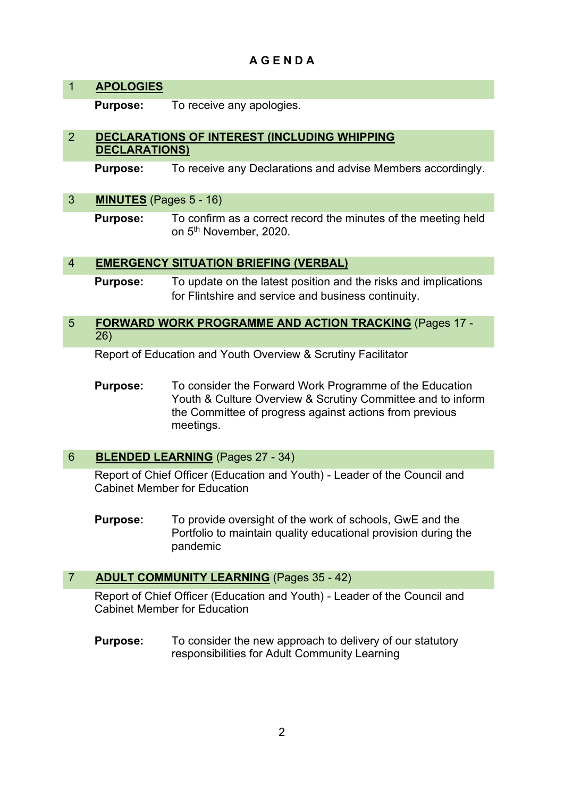# **A G E N D A**

# 1 **APOLOGIES**

**Purpose:** To receive any apologies.

## 2 **DECLARATIONS OF INTEREST (INCLUDING WHIPPING DECLARATIONS)**

**Purpose:** To receive any Declarations and advise Members accordingly.

#### 3 **MINUTES** (Pages 5 - 16)

**Purpose:** To confirm as a correct record the minutes of the meeting held on 5<sup>th</sup> November, 2020.

#### 4 **EMERGENCY SITUATION BRIEFING (VERBAL)**

**Purpose:** To update on the latest position and the risks and implications for Flintshire and service and business continuity.

### 5 **FORWARD WORK PROGRAMME AND ACTION TRACKING** (Pages 17 - 26)

Report of Education and Youth Overview & Scrutiny Facilitator

**Purpose:** To consider the Forward Work Programme of the Education Youth & Culture Overview & Scrutiny Committee and to inform the Committee of progress against actions from previous meetings.

#### 6 **BLENDED LEARNING** (Pages 27 - 34)

Report of Chief Officer (Education and Youth) - Leader of the Council and Cabinet Member for Education

**Purpose:** To provide oversight of the work of schools, GwE and the Portfolio to maintain quality educational provision during the pandemic

#### 7 **ADULT COMMUNITY LEARNING** (Pages 35 - 42)

Report of Chief Officer (Education and Youth) - Leader of the Council and Cabinet Member for Education

**Purpose:** To consider the new approach to delivery of our statutory responsibilities for Adult Community Learning